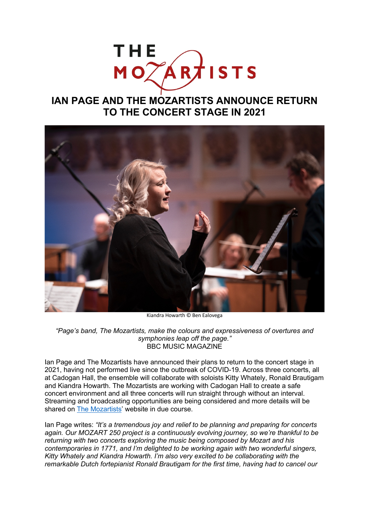# THE MOTARTISTS

## **IAN PAGE AND THE MOZARTISTS ANNOUNCE RETURN TO THE CONCERT STAGE IN 2021**



Kiandra Howarth © Ben Ealovega

*"Page's band, The Mozartists, make the colours and expressiveness of overtures and symphonies leap off the page."* BBC MUSIC MAGAZINE

Ian Page and The Mozartists have announced their plans to return to the concert stage in 2021, having not performed live since the outbreak of COVID-19. Across three concerts, all at Cadogan Hall, the ensemble will collaborate with soloists Kitty Whately, Ronald Brautigam and Kiandra Howarth. The Mozartists are working with Cadogan Hall to create a safe concert environment and all three concerts will run straight through without an interval. Streaming and broadcasting opportunities are being considered and more details will be shared on The Mozartists' website in due course.

Ian Page writes: *"It's a tremendous joy and relief to be planning and preparing for concerts again. Our MOZART 250 project is a continuously evolving journey, so we're thankful to be returning with two concerts exploring the music being composed by Mozart and his contemporaries in 1771, and I'm delighted to be working again with two wonderful singers, Kitty Whately and Kiandra Howarth. I'm also very excited to be collaborating with the remarkable Dutch fortepianist Ronald Brautigam for the first time, having had to cancel our*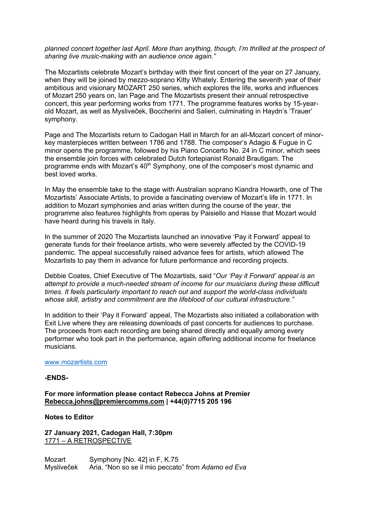*planned concert together last April. More than anything, though, I'm thrilled at the prospect of sharing live music-making with an audience once again."*

The Mozartists celebrate Mozart's birthday with their first concert of the year on 27 January, when they will be joined by mezzo-soprano Kitty Whately. Entering the seventh year of their ambitious and visionary MOZART 250 series, which explores the life, works and influences of Mozart 250 years on, Ian Page and The Mozartists present their annual retrospective concert, this year performing works from 1771. The programme features works by 15-yearold Mozart, as well as Mysliveček, Boccherini and Salieri, culminating in Haydn's 'Trauer' symphony.

Page and The Mozartists return to Cadogan Hall in March for an all-Mozart concert of minorkey masterpieces written between 1786 and 1788. The composer's Adagio & Fugue in C minor opens the programme, followed by his Piano Concerto No. 24 in C minor, which sees the ensemble join forces with celebrated Dutch fortepianist Ronald Brautigam. The programme ends with Mozart's 40<sup>th</sup> Symphony, one of the composer's most dynamic and best loved works.

In May the ensemble take to the stage with Australian soprano Kiandra Howarth, one of The Mozartists' Associate Artists, to provide a fascinating overview of Mozart's life in 1771. In addition to Mozart symphonies and arias written during the course of the year, the programme also features highlights from operas by Paisiello and Hasse that Mozart would have heard during his travels in Italy.

In the summer of 2020 The Mozartists launched an innovative 'Pay it Forward' appeal to generate funds for their freelance artists, who were severely affected by the COVID-19 pandemic. The appeal successfully raised advance fees for artists, which allowed The Mozartists to pay them in advance for future performance and recording projects.

Debbie Coates, Chief Executive of The Mozartists, said "*Our 'Pay it Forward' appeal is an attempt to provide a much-needed stream of income for our musicians during these difficult times. It feels particularly important to reach out and support the world-class individuals whose skill, artistry and commitment are the lifeblood of our cultural infrastructure."* 

In addition to their 'Pay it Forward' appeal, The Mozartists also initiated a collaboration with Exit Live where they are releasing downloads of past concerts for audiences to purchase. The proceeds from each recording are being shared directly and equally among every performer who took part in the performance, again offering additional income for freelance musicians.

#### www.mozartists.com

#### **-ENDS-**

**For more information please contact Rebecca Johns at Premier Rebecca.johns@premiercomms.com | +44(0)7715 205 196**

**Notes to Editor**

**27 January 2021, Cadogan Hall, 7:30pm** 1771 – A RETROSPECTIVE

Mozart Symphony [No. 42] in F, K.75 Mysliveček Aria, "Non so se il mio peccato" from *Adamo ed Eva*